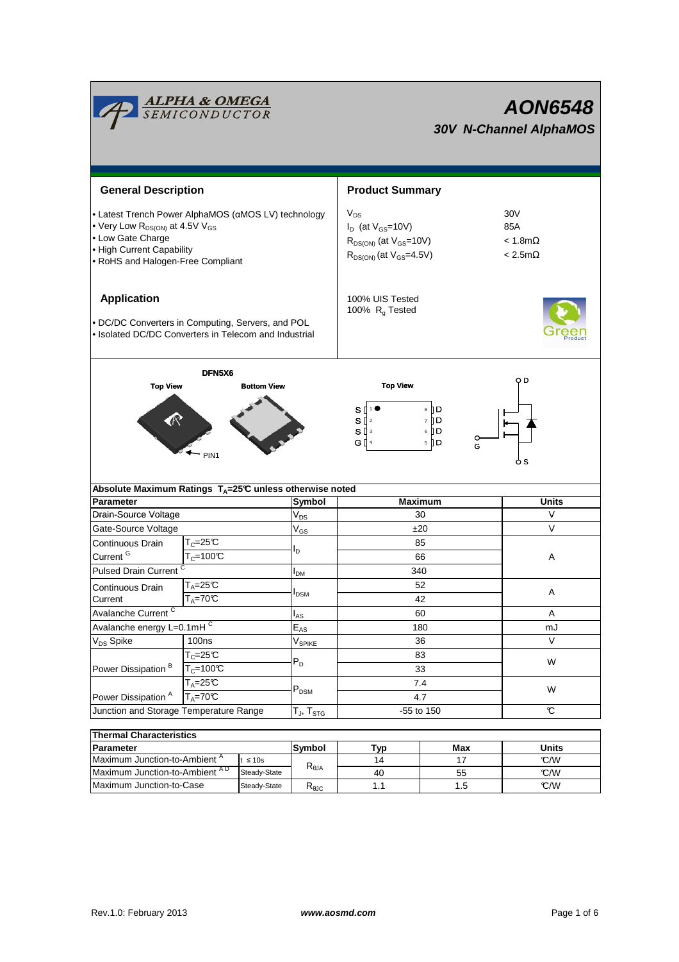| <b>ALPHA &amp; OMEGA</b><br>SEMICONDUCTOR                                                                                                                                                            |                                                                                                            |                            | AON6548<br><b>30V N-Channel AlphaMOS</b>                                                                                  |                                   |                                          |  |
|------------------------------------------------------------------------------------------------------------------------------------------------------------------------------------------------------|------------------------------------------------------------------------------------------------------------|----------------------------|---------------------------------------------------------------------------------------------------------------------------|-----------------------------------|------------------------------------------|--|
|                                                                                                                                                                                                      |                                                                                                            |                            |                                                                                                                           |                                   |                                          |  |
| <b>General Description</b>                                                                                                                                                                           |                                                                                                            |                            | <b>Product Summary</b>                                                                                                    |                                   |                                          |  |
| • Latest Trench Power AlphaMOS (αMOS LV) technology<br>• Very Low R <sub>DS(ON)</sub> at 4.5V V <sub>GS</sub><br>• Low Gate Charge<br>• High Current Capability<br>• RoHS and Halogen-Free Compliant |                                                                                                            |                            | $V_{DS}$<br>30V<br>85A<br>$I_D$ (at $V_{GS}$ =10V)<br>$R_{DS(ON)}$ (at $V_{GS}$ =10V)<br>$R_{DS(ON)}$ (at $V_{GS}$ =4.5V) |                                   | $< 1.8$ m $\Omega$<br>$< 2.5$ m $\Omega$ |  |
| <b>Application</b>                                                                                                                                                                                   | • DC/DC Converters in Computing, Servers, and POL<br>• Isolated DC/DC Converters in Telecom and Industrial |                            | 100% UIS Tested<br>100% $R_g$ Tested                                                                                      |                                   |                                          |  |
| <b>Top View</b>                                                                                                                                                                                      | DFN5X6<br><b>Bottom View</b><br>PIN <sub>1</sub>                                                           |                            | <b>Top View</b><br>sΠ<br>$S^{2}$<br>$S^{13}$<br>G [] 4                                                                    | 8 D D<br>7 D<br>6 D<br>$5$ D<br>G | o D<br>6 s                               |  |
|                                                                                                                                                                                                      | Absolute Maximum Ratings T <sub>A</sub> =25℃ unless otherwise noted                                        |                            |                                                                                                                           |                                   |                                          |  |
| <b>Parameter</b>                                                                                                                                                                                     |                                                                                                            |                            | <b>Maximum</b>                                                                                                            |                                   | <b>Units</b>                             |  |
| Drain-Source Voltage                                                                                                                                                                                 |                                                                                                            | $\mathsf{V}_{\mathsf{DS}}$ | 30                                                                                                                        |                                   | V                                        |  |
| Gate-Source Voltage                                                                                                                                                                                  |                                                                                                            | $V_{GS}$                   | ±20                                                                                                                       |                                   | $\vee$                                   |  |
| Continuous Drain<br>Current <sup>G</sup>                                                                                                                                                             | $T_c = 25C$<br>$T_c = 100C$                                                                                | l <sub>D</sub>             | 85<br>66                                                                                                                  |                                   | Α                                        |  |
| <b>Pulsed Drain Current</b>                                                                                                                                                                          |                                                                                                            | I <sub>DМ</sub>            | 340                                                                                                                       |                                   |                                          |  |
| Continuous Drain<br>Current                                                                                                                                                                          | $T_A = 25C$<br>$T_A = 70$ °C                                                                               | I <sub>DSM</sub>           | 52                                                                                                                        |                                   | Α                                        |  |
| Avalanche Current <sup>C</sup>                                                                                                                                                                       |                                                                                                            |                            | 42                                                                                                                        |                                   | A                                        |  |
| Avalanche energy L=0.1mHC                                                                                                                                                                            |                                                                                                            | $I_{AS}$<br>$E_{AS}$       | 60                                                                                                                        |                                   | mJ                                       |  |
| V <sub>DS</sub> Spike                                                                                                                                                                                | 100 <sub>ns</sub>                                                                                          | $V_{SPIKE}$                | 180<br>36                                                                                                                 |                                   | V                                        |  |
|                                                                                                                                                                                                      | $T_c = 25C$                                                                                                |                            | 83                                                                                                                        |                                   |                                          |  |
| Power Dissipation <sup>B</sup>                                                                                                                                                                       | $T_c = 100C$                                                                                               | $P_D$                      | 33<br>7.4<br>4.7                                                                                                          |                                   | W<br>W                                   |  |
|                                                                                                                                                                                                      | $T_A = 25C$                                                                                                |                            |                                                                                                                           |                                   |                                          |  |
| Power Dissipation <sup>A</sup>                                                                                                                                                                       | $T_A = 70^\circ C$                                                                                         | $\mathsf{P}_\mathsf{DSM}$  |                                                                                                                           |                                   |                                          |  |
| Junction and Storage Temperature Range                                                                                                                                                               |                                                                                                            | $T_J$ , $T_{STG}$          | -55 to 150                                                                                                                |                                   | C                                        |  |
|                                                                                                                                                                                                      |                                                                                                            |                            |                                                                                                                           |                                   |                                          |  |
| <b>Thermal Characteristics</b>                                                                                                                                                                       |                                                                                                            |                            |                                                                                                                           |                                   |                                          |  |
| Parameter<br>Maximum Junction-to-Ambient <sup>A</sup>                                                                                                                                                | t < 10s                                                                                                    | Symbol                     | Typ<br>14                                                                                                                 | Max<br>17                         | <b>Units</b><br>TAM                      |  |
|                                                                                                                                                                                                      |                                                                                                            |                            |                                                                                                                           |                                   |                                          |  |

| i Hermal Undiduci isucs                  |                                                   |             |     |       |      |  |  |
|------------------------------------------|---------------------------------------------------|-------------|-----|-------|------|--|--|
| <b>IParameter</b>                        | Symbol                                            | Typ         | Max | Jnits |      |  |  |
| Maximum Junction-to-Ambient <sup>"</sup> | $\leq 10s$                                        |             | 14  |       | °C/W |  |  |
| Maximum Junction-to-Ambient AD           | $\mathsf{R}_{\theta \mathsf{JA}}$<br>Steady-State |             | 40  | 55    | C/M  |  |  |
| Maximum Junction-to-Case                 | Steady-State                                      | <b>KAJC</b> |     |       | C/W  |  |  |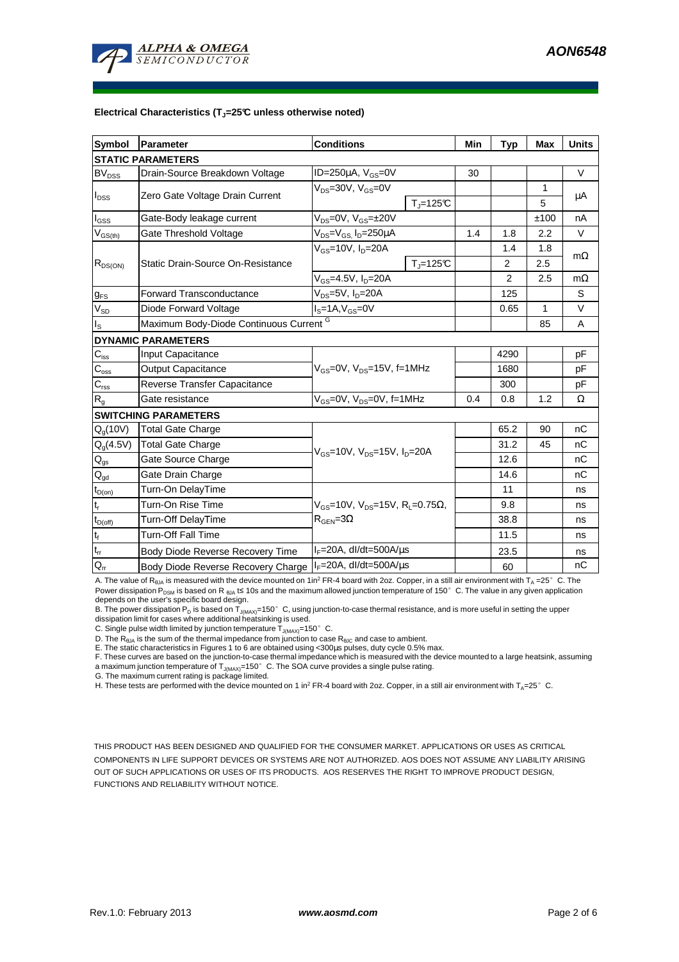

#### **Electrical Characteristics (TJ=25°C unless otherwise noted)**

| <b>Symbol</b>                          | Parameter                                          | <b>Conditions</b>                                                                         |                    | Min | <b>Typ</b>     | Max  | <b>Units</b> |  |  |
|----------------------------------------|----------------------------------------------------|-------------------------------------------------------------------------------------------|--------------------|-----|----------------|------|--------------|--|--|
| <b>STATIC PARAMETERS</b>               |                                                    |                                                                                           |                    |     |                |      |              |  |  |
| $BV_{DSS}$                             | Drain-Source Breakdown Voltage                     | ID=250 $\mu$ A, V <sub>GS</sub> =0V                                                       |                    | 30  |                |      | $\vee$       |  |  |
| $I_{DSS}$                              | Zero Gate Voltage Drain Current                    | $V_{DS}$ =30V, $V_{GS}$ =0V<br>$T_i = 125C$                                               |                    |     |                | 1    | μA           |  |  |
|                                        |                                                    |                                                                                           |                    |     |                | 5    |              |  |  |
| $I_{GSS}$                              | Gate-Body leakage current                          | $V_{DS} = 0V$ , $V_{GS} = \pm 20V$                                                        |                    |     |                | ±100 | nA           |  |  |
| $V_{GS(th)}$                           | Gate Threshold Voltage                             | $V_{DS} = V_{GS}$ , $I_D = 250 \mu A$                                                     |                    | 1.4 | 1.8            | 2.2  | V            |  |  |
| $R_{DS(ON)}$                           |                                                    | $V_{GS}$ =10V, $I_D$ =20A                                                                 |                    |     | 1.4            | 1.8  | $m\Omega$    |  |  |
|                                        | Static Drain-Source On-Resistance                  |                                                                                           | $T_{\rm J}$ =125°C |     | 2              | 2.5  |              |  |  |
|                                        |                                                    | $V_{GS}$ =4.5V, $I_D$ =20A                                                                |                    |     | $\overline{2}$ | 2.5  | $m\Omega$    |  |  |
| $g_{FS}$                               | <b>Forward Transconductance</b>                    | $V_{DS}$ =5V, I <sub>D</sub> =20A                                                         |                    |     | 125            |      | S            |  |  |
| $V_{SD}$                               | Diode Forward Voltage                              | $I_S = 1A$ , $V_{GS} = 0V$                                                                |                    |     | 0.65           | 1    | V            |  |  |
| ıs.                                    | Maximum Body-Diode Continuous Current <sup>G</sup> |                                                                                           |                    |     |                | 85   | A            |  |  |
|                                        | <b>DYNAMIC PARAMETERS</b>                          |                                                                                           |                    |     |                |      |              |  |  |
| $C_{\text{iss}}$                       | Input Capacitance                                  | V <sub>GS</sub> =0V, V <sub>DS</sub> =15V, f=1MHz                                         |                    |     | 4290           |      | pF           |  |  |
| $C_{\rm oss}$                          | <b>Output Capacitance</b>                          |                                                                                           |                    |     | 1680           |      | pF           |  |  |
| $C_{\text{rss}}$                       | Reverse Transfer Capacitance                       |                                                                                           |                    |     | 300            |      | pF           |  |  |
| $\mathsf{R}_{\mathsf{g}}$              | Gate resistance                                    | $V_{GS}$ =0V, $V_{DS}$ =0V, f=1MHz                                                        |                    | 0.4 | 0.8            | 1.2  | Ω            |  |  |
|                                        | <b>SWITCHING PARAMETERS</b>                        |                                                                                           |                    |     |                |      |              |  |  |
| $Q_g(10V)$                             | Total Gate Charge                                  | V <sub>GS</sub> =10V, V <sub>DS</sub> =15V, I <sub>D</sub> =20A                           |                    |     | 65.2           | 90   | nC           |  |  |
| $Q_g(4.5V)$                            | <b>Total Gate Charge</b>                           |                                                                                           |                    |     | 31.2           | 45   | nC           |  |  |
| $\mathsf{Q}_{\mathsf{gs}}$             | Gate Source Charge                                 |                                                                                           |                    |     | 12.6           |      | nC           |  |  |
| $\mathsf{Q}_{\underline{\mathsf{gd}}}$ | Gate Drain Charge                                  |                                                                                           |                    |     | 14.6           |      | nC           |  |  |
| $t_{D(on)}$                            | Turn-On DelayTime                                  |                                                                                           |                    |     | 11             |      | ns           |  |  |
| $\mathfrak{t}_{\mathsf{r}}$            | Turn-On Rise Time                                  | $V_{GS}$ =10V, V <sub>DS</sub> =15V, R <sub>L</sub> =0.75Ω,<br>$R_{\text{GEN}} = 3\Omega$ |                    |     | 9.8            |      | ns           |  |  |
| $t_{D(off)}$                           | Turn-Off DelayTime                                 |                                                                                           |                    |     | 38.8           |      | ns           |  |  |
| $\mathfrak{t}_{\mathsf{f}}$            | <b>Turn-Off Fall Time</b>                          |                                                                                           |                    |     | 11.5           |      | ns           |  |  |
| $t_{rr}$                               | Body Diode Reverse Recovery Time                   | $I_F = 20A$ , dl/dt=500A/ $\mu$ s                                                         |                    |     | 23.5           |      | ns           |  |  |
| $Q_{rr}$                               | Body Diode Reverse Recovery Charge                 | $I_F = 20A$ , dl/dt=500A/ $\mu$ s                                                         |                    |     | 60             |      | nC           |  |  |

A. The value of R<sub>BJA</sub> is measured with the device mounted on 1in<sup>2</sup> FR-4 board with 2oz. Copper, in a still air environment with T<sub>A</sub> =25° C. The Power dissipation P<sub>DSM</sub> is based on R <sub>θJA</sub> t≤ 10s and the maximum allowed junction temperature of 150°C. The value in any given application depends on the user's specific board design.

B. The power dissipation P<sub>D</sub> is based on T<sub>J(MAX)</sub>=150°C, using junction-to-case thermal resistance, and is more useful in setting the upper<br>dissipation limit for cases where additional heatsinking is used.

C. Single pulse width limited by junction temperature  $\overline{T}_{J(MAX)}$ =150°C.

D. The R<sub>θJA</sub> is the sum of the thermal impedance from junction to case R<sub>θJC</sub> and case to ambient.<br>E. The static characteristics in Figures 1 to 6 are obtained using <300μs pulses, duty cycle 0.5% max.

F. These curves are based on the junction-to-case thermal impedance which is measured with the device mounted to a large heatsink, assuming a maximum junction temperature of  $T_{J(MAX)}$ =150° C. The SOA curve provides a single pulse rating.

G. The maximum current rating is package limited.

H. These tests are performed with the device mounted on 1 in<sup>2</sup> FR-4 board with 2oz. Copper, in a still air environment with T<sub>A</sub>=25°C.

THIS PRODUCT HAS BEEN DESIGNED AND QUALIFIED FOR THE CONSUMER MARKET. APPLICATIONS OR USES AS CRITICAL COMPONENTS IN LIFE SUPPORT DEVICES OR SYSTEMS ARE NOT AUTHORIZED. AOS DOES NOT ASSUME ANY LIABILITY ARISING OUT OF SUCH APPLICATIONS OR USES OF ITS PRODUCTS. AOS RESERVES THE RIGHT TO IMPROVE PRODUCT DESIGN, FUNCTIONS AND RELIABILITY WITHOUT NOTICE.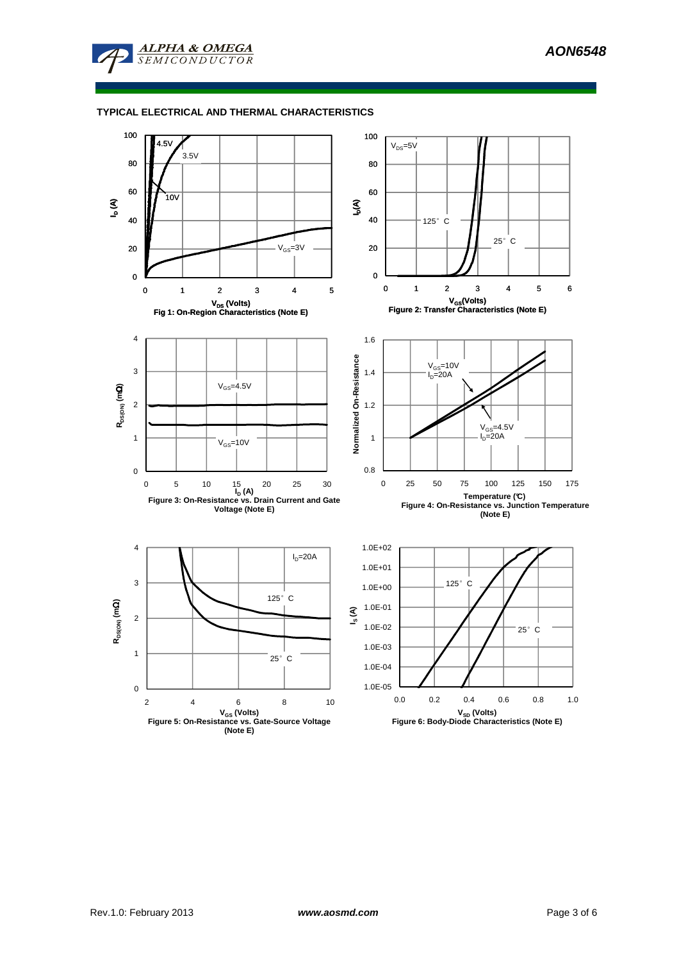

### **TYPICAL ELECTRICAL AND THERMAL CHARACTERISTICS**

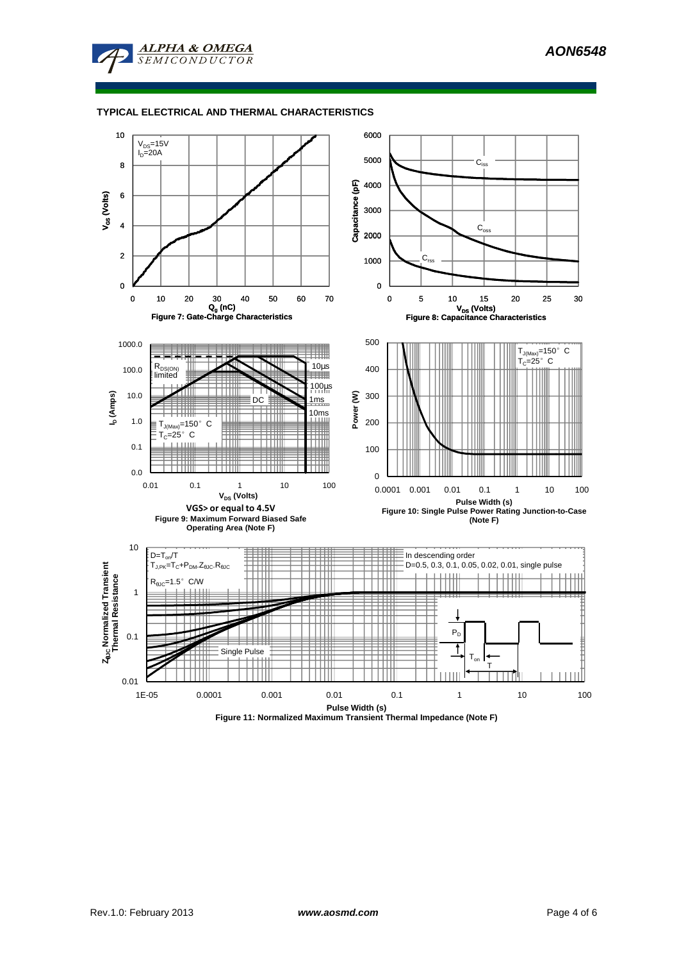

### **TYPICAL ELECTRICAL AND THERMAL CHARACTERISTICS**



**Figure 11: Normalized Maximum Transient Thermal Impedance (Note F)**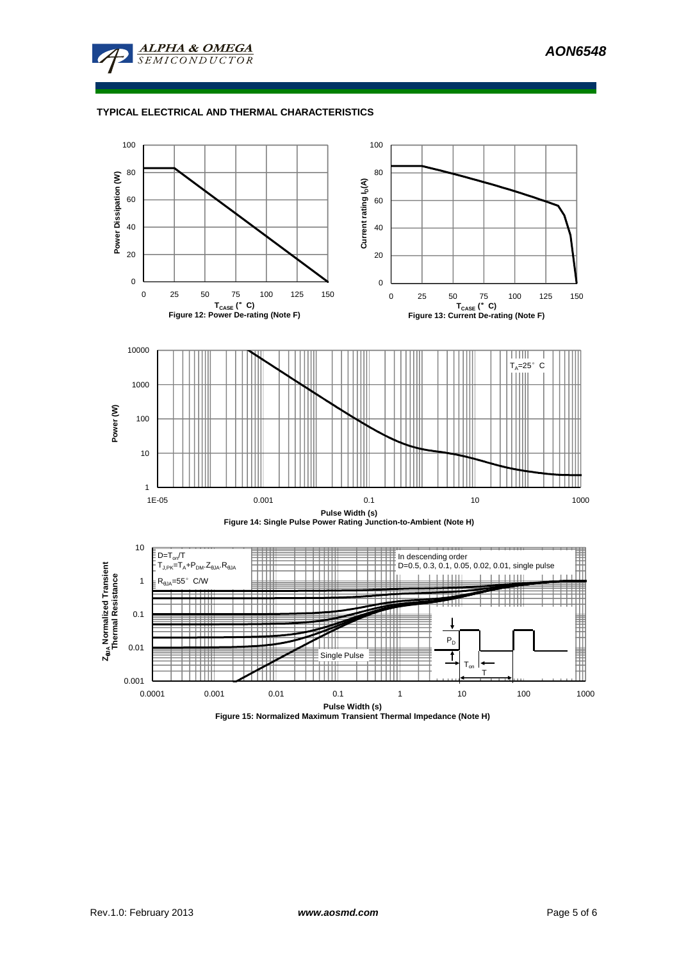

# **TYPICAL ELECTRICAL AND THERMAL CHARACTERISTICS**